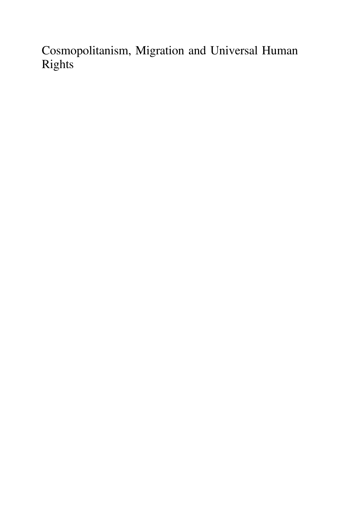Cosmopolitanism, Migration and Universal Human Rights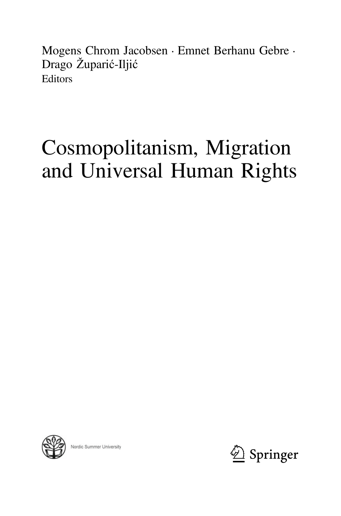Mogens Chrom Jacobsen • Emnet Berhanu Gebre • Drago Župarić-Iljić Editors

# Cosmopolitanism, Migration and Universal Human Rights



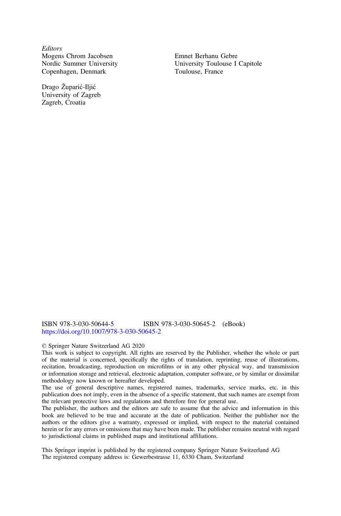**Editors** Mogens Chrom Jacobsen Nordic Summer University Copenhagen, Denmark

Drago Župarić-Iljić University of Zagreb Zagreb, Croatia

Emnet Berhanu Gebre University Toulouse I Capitole Toulouse, France

ISBN 978-3-030-50644-5 ISBN 978-3-030-50645-2 (eBook) <https://doi.org/10.1007/978-3-030-50645-2>

#### © Springer Nature Switzerland AG 2020

This work is subject to copyright. All rights are reserved by the Publisher, whether the whole or part of the material is concerned, specifically the rights of translation, reprinting, reuse of illustrations, recitation, broadcasting, reproduction on microfilms or in any other physical way, and transmission or information storage and retrieval, electronic adaptation, computer software, or by similar or dissimilar methodology now known or hereafter developed.

The use of general descriptive names, registered names, trademarks, service marks, etc. in this publication does not imply, even in the absence of a specific statement, that such names are exempt from the relevant protective laws and regulations and therefore free for general use.

The publisher, the authors and the editors are safe to assume that the advice and information in this book are believed to be true and accurate at the date of publication. Neither the publisher nor the authors or the editors give a warranty, expressed or implied, with respect to the material contained herein or for any errors or omissions that may have been made. The publisher remains neutral with regard to jurisdictional claims in published maps and institutional affiliations.

This Springer imprint is published by the registered company Springer Nature Switzerland AG The registered company address is: Gewerbestrasse 11, 6330 Cham, Switzerland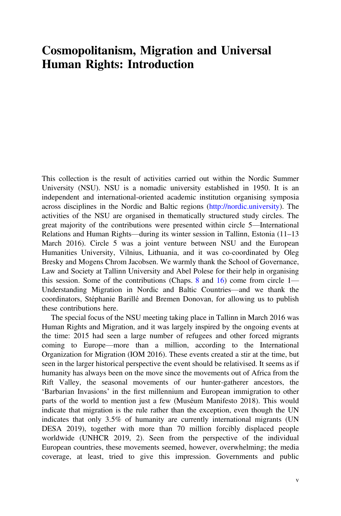# Cosmopolitanism, Migration and Universal Human Rights: Introduction

This collection is the result of activities carried out within the Nordic Summer University (NSU). NSU is a nomadic university established in 1950. It is an independent and international-oriented academic institution organising symposia across disciplines in the Nordic and Baltic regions (<http://nordic.university>). The activities of the NSU are organised in thematically structured study circles. The great majority of the contributions were presented within circle 5—International Relations and Human Rights—during its winter session in Tallinn, Estonia (11–13 March 2016). Circle 5 was a joint venture between NSU and the European Humanities University, Vilnius, Lithuania, and it was co-coordinated by Oleg Bresky and Mogens Chrom Jacobsen. We warmly thank the School of Governance, Law and Society at Tallinn University and Abel Polese for their help in organising this session. Some of the contributions (Chaps.  $8$  and  $16$ ) come from circle  $1-$ Understanding Migration in Nordic and Baltic Countries—and we thank the coordinators, Stéphanie Barillé and Bremen Donovan, for allowing us to publish these contributions here.

The special focus of the NSU meeting taking place in Tallinn in March 2016 was Human Rights and Migration, and it was largely inspired by the ongoing events at the time: 2015 had seen a large number of refugees and other forced migrants coming to Europe—more than a million, according to the International Organization for Migration (IOM 2016). These events created a stir at the time, but seen in the larger historical perspective the event should be relativised. It seems as if humanity has always been on the move since the movements out of Africa from the Rift Valley, the seasonal movements of our hunter-gatherer ancestors, the 'Barbarian Invasions' in the first millennium and European immigration to other parts of the world to mention just a few (Muséum Manifesto 2018). This would indicate that migration is the rule rather than the exception, even though the UN indicates that only 3.5% of humanity are currently international migrants (UN DESA 2019), together with more than 70 million forcibly displaced people worldwide (UNHCR 2019, 2). Seen from the perspective of the individual European countries, these movements seemed, however, overwhelming; the media coverage, at least, tried to give this impression. Governments and public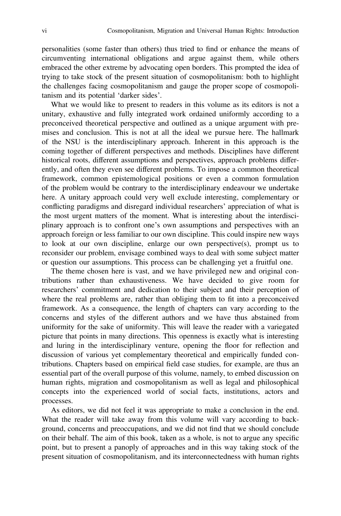personalities (some faster than others) thus tried to find or enhance the means of circumventing international obligations and argue against them, while others embraced the other extreme by advocating open borders. This prompted the idea of trying to take stock of the present situation of cosmopolitanism: both to highlight the challenges facing cosmopolitanism and gauge the proper scope of cosmopolitanism and its potential 'darker sides'.

What we would like to present to readers in this volume as its editors is not a unitary, exhaustive and fully integrated work ordained uniformly according to a preconceived theoretical perspective and outlined as a unique argument with premises and conclusion. This is not at all the ideal we pursue here. The hallmark of the NSU is the interdisciplinary approach. Inherent in this approach is the coming together of different perspectives and methods. Disciplines have different historical roots, different assumptions and perspectives, approach problems differently, and often they even see different problems. To impose a common theoretical framework, common epistemological positions or even a common formulation of the problem would be contrary to the interdisciplinary endeavour we undertake here. A unitary approach could very well exclude interesting, complementary or conflicting paradigms and disregard individual researchers' appreciation of what is the most urgent matters of the moment. What is interesting about the interdisciplinary approach is to confront one's own assumptions and perspectives with an approach foreign or less familiar to our own discipline. This could inspire new ways to look at our own discipline, enlarge our own perspective(s), prompt us to reconsider our problem, envisage combined ways to deal with some subject matter or question our assumptions. This process can be challenging yet a fruitful one.

The theme chosen here is vast, and we have privileged new and original contributions rather than exhaustiveness. We have decided to give room for researchers' commitment and dedication to their subject and their perception of where the real problems are, rather than obliging them to fit into a preconceived framework. As a consequence, the length of chapters can vary according to the concerns and styles of the different authors and we have thus abstained from uniformity for the sake of uniformity. This will leave the reader with a variegated picture that points in many directions. This openness is exactly what is interesting and luring in the interdisciplinary venture, opening the floor for reflection and discussion of various yet complementary theoretical and empirically funded contributions. Chapters based on empirical field case studies, for example, are thus an essential part of the overall purpose of this volume, namely, to embed discussion on human rights, migration and cosmopolitanism as well as legal and philosophical concepts into the experienced world of social facts, institutions, actors and processes.

As editors, we did not feel it was appropriate to make a conclusion in the end. What the reader will take away from this volume will vary according to background, concerns and preoccupations, and we did not find that we should conclude on their behalf. The aim of this book, taken as a whole, is not to argue any specific point, but to present a panoply of approaches and in this way taking stock of the present situation of cosmopolitanism, and its interconnectedness with human rights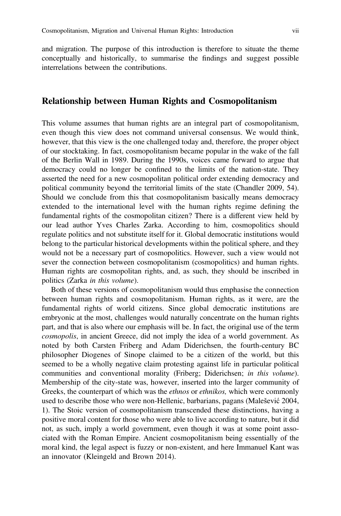and migration. The purpose of this introduction is therefore to situate the theme conceptually and historically, to summarise the findings and suggest possible interrelations between the contributions.

#### Relationship between Human Rights and Cosmopolitanism

This volume assumes that human rights are an integral part of cosmopolitanism, even though this view does not command universal consensus. We would think, however, that this view is the one challenged today and, therefore, the proper object of our stocktaking. In fact, cosmopolitanism became popular in the wake of the fall of the Berlin Wall in 1989. During the 1990s, voices came forward to argue that democracy could no longer be confined to the limits of the nation-state. They asserted the need for a new cosmopolitan political order extending democracy and political community beyond the territorial limits of the state (Chandler 2009, 54). Should we conclude from this that cosmopolitanism basically means democracy extended to the international level with the human rights regime defining the fundamental rights of the cosmopolitan citizen? There is a different view held by our lead author Yves Charles Zarka. According to him, cosmopolitics should regulate politics and not substitute itself for it. Global democratic institutions would belong to the particular historical developments within the political sphere, and they would not be a necessary part of cosmopolitics. However, such a view would not sever the connection between cosmopolitanism (cosmopolitics) and human rights. Human rights are cosmopolitan rights, and, as such, they should be inscribed in politics (Zarka in this volume).

Both of these versions of cosmopolitanism would thus emphasise the connection between human rights and cosmopolitanism. Human rights, as it were, are the fundamental rights of world citizens. Since global democratic institutions are embryonic at the most, challenges would naturally concentrate on the human rights part, and that is also where our emphasis will be. In fact, the original use of the term cosmopolis, in ancient Greece, did not imply the idea of a world government. As noted by both Carsten Friberg and Adam Diderichsen, the fourth-century BC philosopher Diogenes of Sinope claimed to be a citizen of the world, but this seemed to be a wholly negative claim protesting against life in particular political communities and conventional morality (Friberg; Diderichsen; in this volume). Membership of the city-state was, however, inserted into the larger community of Greeks, the counterpart of which was the *ethnos* or *ethnikos*, which were commonly used to describe those who were non-Hellenic, barbarians, pagans (Malešević 2004, 1). The Stoic version of cosmopolitanism transcended these distinctions, having a positive moral content for those who were able to live according to nature, but it did not, as such, imply a world government, even though it was at some point associated with the Roman Empire. Ancient cosmopolitanism being essentially of the moral kind, the legal aspect is fuzzy or non-existent, and here Immanuel Kant was an innovator (Kleingeld and Brown 2014).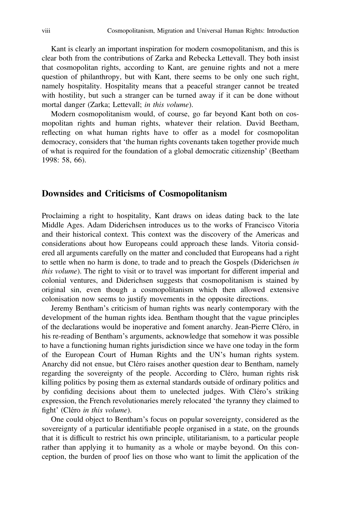Kant is clearly an important inspiration for modern cosmopolitanism, and this is clear both from the contributions of Zarka and Rebecka Lettevall. They both insist that cosmopolitan rights, according to Kant, are genuine rights and not a mere question of philanthropy, but with Kant, there seems to be only one such right, namely hospitality. Hospitality means that a peaceful stranger cannot be treated with hostility, but such a stranger can be turned away if it can be done without mortal danger (Zarka; Lettevall; in this volume).

Modern cosmopolitanism would, of course, go far beyond Kant both on cosmopolitan rights and human rights, whatever their relation. David Beetham, reflecting on what human rights have to offer as a model for cosmopolitan democracy, considers that 'the human rights covenants taken together provide much of what is required for the foundation of a global democratic citizenship' (Beetham 1998: 58, 66).

## Downsides and Criticisms of Cosmopolitanism

Proclaiming a right to hospitality, Kant draws on ideas dating back to the late Middle Ages. Adam Diderichsen introduces us to the works of Francisco Vitoria and their historical context. This context was the discovery of the Americas and considerations about how Europeans could approach these lands. Vitoria considered all arguments carefully on the matter and concluded that Europeans had a right to settle when no harm is done, to trade and to preach the Gospels (Diderichsen in this volume). The right to visit or to travel was important for different imperial and colonial ventures, and Diderichsen suggests that cosmopolitanism is stained by original sin, even though a cosmopolitanism which then allowed extensive colonisation now seems to justify movements in the opposite directions.

Jeremy Bentham's criticism of human rights was nearly contemporary with the development of the human rights idea. Bentham thought that the vague principles of the declarations would be inoperative and foment anarchy. Jean-Pierre Cléro, in his re-reading of Bentham's arguments, acknowledge that somehow it was possible to have a functioning human rights jurisdiction since we have one today in the form of the European Court of Human Rights and the UN's human rights system. Anarchy did not ensue, but Cléro raises another question dear to Bentham, namely regarding the sovereignty of the people. According to Cléro, human rights risk killing politics by posing them as external standards outside of ordinary politics and by confiding decisions about them to unelected judges. With Cléro's striking expression, the French revolutionaries merely relocated 'the tyranny they claimed to fight' (Cléro in this volume).

One could object to Bentham's focus on popular sovereignty, considered as the sovereignty of a particular identifiable people organised in a state, on the grounds that it is difficult to restrict his own principle, utilitarianism, to a particular people rather than applying it to humanity as a whole or maybe beyond. On this conception, the burden of proof lies on those who want to limit the application of the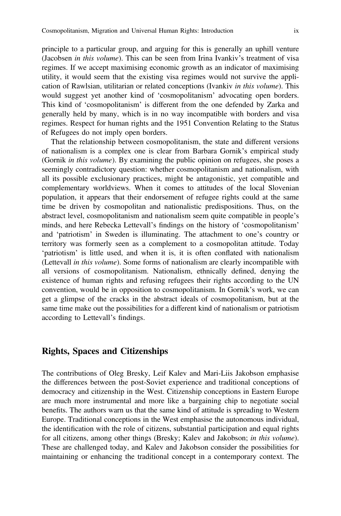principle to a particular group, and arguing for this is generally an uphill venture (Jacobsen in this volume). This can be seen from Irina Ivankiv's treatment of visa regimes. If we accept maximising economic growth as an indicator of maximising utility, it would seem that the existing visa regimes would not survive the application of Rawlsian, utilitarian or related conceptions (Ivankiv in this volume). This would suggest yet another kind of 'cosmopolitanism' advocating open borders. This kind of 'cosmopolitanism' is different from the one defended by Zarka and generally held by many, which is in no way incompatible with borders and visa regimes. Respect for human rights and the 1951 Convention Relating to the Status of Refugees do not imply open borders.

That the relationship between cosmopolitanism, the state and different versions of nationalism is a complex one is clear from Barbara Gornik's empirical study (Gornik in this volume). By examining the public opinion on refugees, she poses a seemingly contradictory question: whether cosmopolitanism and nationalism, with all its possible exclusionary practices, might be antagonistic, yet compatible and complementary worldviews. When it comes to attitudes of the local Slovenian population, it appears that their endorsement of refugee rights could at the same time be driven by cosmopolitan and nationalistic predispositions. Thus, on the abstract level, cosmopolitanism and nationalism seem quite compatible in people's minds, and here Rebecka Lettevall's findings on the history of 'cosmopolitanism' and 'patriotism' in Sweden is illuminating. The attachment to one's country or territory was formerly seen as a complement to a cosmopolitan attitude. Today 'patriotism' is little used, and when it is, it is often conflated with nationalism (Lettevall in this volume). Some forms of nationalism are clearly incompatible with all versions of cosmopolitanism. Nationalism, ethnically defined, denying the existence of human rights and refusing refugees their rights according to the UN convention, would be in opposition to cosmopolitanism. In Gornik's work, we can get a glimpse of the cracks in the abstract ideals of cosmopolitanism, but at the same time make out the possibilities for a different kind of nationalism or patriotism according to Lettevall's findings.

#### Rights, Spaces and Citizenships

The contributions of Oleg Bresky, Leif Kalev and Mari-Liis Jakobson emphasise the differences between the post-Soviet experience and traditional conceptions of democracy and citizenship in the West. Citizenship conceptions in Eastern Europe are much more instrumental and more like a bargaining chip to negotiate social benefits. The authors warn us that the same kind of attitude is spreading to Western Europe. Traditional conceptions in the West emphasise the autonomous individual, the identification with the role of citizens, substantial participation and equal rights for all citizens, among other things (Bresky; Kalev and Jakobson; in this volume). These are challenged today, and Kalev and Jakobson consider the possibilities for maintaining or enhancing the traditional concept in a contemporary context. The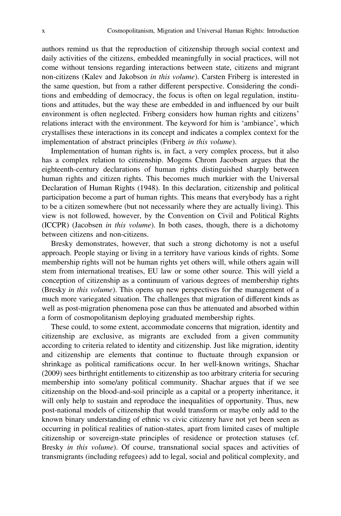authors remind us that the reproduction of citizenship through social context and daily activities of the citizens, embedded meaningfully in social practices, will not come without tensions regarding interactions between state, citizens and migrant non-citizens (Kalev and Jakobson in this volume). Carsten Friberg is interested in the same question, but from a rather different perspective. Considering the conditions and embedding of democracy, the focus is often on legal regulation, institutions and attitudes, but the way these are embedded in and influenced by our built environment is often neglected. Friberg considers how human rights and citizens' relations interact with the environment. The keyword for him is 'ambiance', which crystallises these interactions in its concept and indicates a complex context for the implementation of abstract principles (Friberg in this volume).

Implementation of human rights is, in fact, a very complex process, but it also has a complex relation to citizenship. Mogens Chrom Jacobsen argues that the eighteenth-century declarations of human rights distinguished sharply between human rights and citizen rights. This becomes much murkier with the Universal Declaration of Human Rights (1948). In this declaration, citizenship and political participation become a part of human rights. This means that everybody has a right to be a citizen somewhere (but not necessarily where they are actually living). This view is not followed, however, by the Convention on Civil and Political Rights (ICCPR) (Jacobsen in this volume). In both cases, though, there is a dichotomy between citizens and non-citizens.

Bresky demonstrates, however, that such a strong dichotomy is not a useful approach. People staying or living in a territory have various kinds of rights. Some membership rights will not be human rights yet others will, while others again will stem from international treatises, EU law or some other source. This will yield a conception of citizenship as a continuum of various degrees of membership rights (Bresky in this volume). This opens up new perspectives for the management of a much more variegated situation. The challenges that migration of different kinds as well as post-migration phenomena pose can thus be attenuated and absorbed within a form of cosmopolitanism deploying graduated membership rights.

These could, to some extent, accommodate concerns that migration, identity and citizenship are exclusive, as migrants are excluded from a given community according to criteria related to identity and citizenship. Just like migration, identity and citizenship are elements that continue to fluctuate through expansion or shrinkage as political ramifications occur. In her well-known writings, Shachar (2009) sees birthright entitlements to citizenship as too arbitrary criteria for securing membership into some/any political community. Shachar argues that if we see citizenship on the blood-and-soil principle as a capital or a property inheritance, it will only help to sustain and reproduce the inequalities of opportunity. Thus, new post-national models of citizenship that would transform or maybe only add to the known binary understanding of ethnic vs civic citizenry have not yet been seen as occurring in political realities of nation-states, apart from limited cases of multiple citizenship or sovereign-state principles of residence or protection statuses (cf. Bresky in this volume). Of course, transnational social spaces and activities of transmigrants (including refugees) add to legal, social and political complexity, and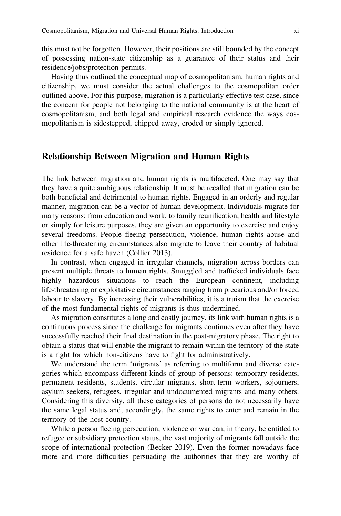this must not be forgotten. However, their positions are still bounded by the concept of possessing nation-state citizenship as a guarantee of their status and their residence/jobs/protection permits.

Having thus outlined the conceptual map of cosmopolitanism, human rights and citizenship, we must consider the actual challenges to the cosmopolitan order outlined above. For this purpose, migration is a particularly effective test case, since the concern for people not belonging to the national community is at the heart of cosmopolitanism, and both legal and empirical research evidence the ways cosmopolitanism is sidestepped, chipped away, eroded or simply ignored.

#### Relationship Between Migration and Human Rights

The link between migration and human rights is multifaceted. One may say that they have a quite ambiguous relationship. It must be recalled that migration can be both beneficial and detrimental to human rights. Engaged in an orderly and regular manner, migration can be a vector of human development. Individuals migrate for many reasons: from education and work, to family reunification, health and lifestyle or simply for leisure purposes, they are given an opportunity to exercise and enjoy several freedoms. People fleeing persecution, violence, human rights abuse and other life-threatening circumstances also migrate to leave their country of habitual residence for a safe haven (Collier 2013).

In contrast, when engaged in irregular channels, migration across borders can present multiple threats to human rights. Smuggled and trafficked individuals face highly hazardous situations to reach the European continent, including life-threatening or exploitative circumstances ranging from precarious and/or forced labour to slavery. By increasing their vulnerabilities, it is a truism that the exercise of the most fundamental rights of migrants is thus undermined.

As migration constitutes a long and costly journey, its link with human rights is a continuous process since the challenge for migrants continues even after they have successfully reached their final destination in the post-migratory phase. The right to obtain a status that will enable the migrant to remain within the territory of the state is a right for which non-citizens have to fight for administratively.

We understand the term 'migrants' as referring to multiform and diverse categories which encompass different kinds of group of persons: temporary residents, permanent residents, students, circular migrants, short-term workers, sojourners, asylum seekers, refugees, irregular and undocumented migrants and many others. Considering this diversity, all these categories of persons do not necessarily have the same legal status and, accordingly, the same rights to enter and remain in the territory of the host country.

While a person fleeing persecution, violence or war can, in theory, be entitled to refugee or subsidiary protection status, the vast majority of migrants fall outside the scope of international protection (Becker 2019). Even the former nowadays face more and more difficulties persuading the authorities that they are worthy of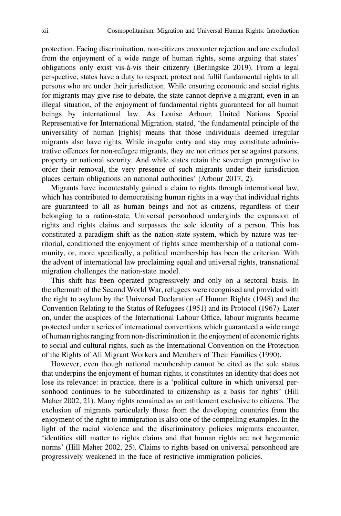protection. Facing discrimination, non-citizens encounter rejection and are excluded from the enjoyment of a wide range of human rights, some arguing that states' obligations only exist vis-à-vis their citizenry (Berlingske 2019). From a legal perspective, states have a duty to respect, protect and fulfil fundamental rights to all persons who are under their jurisdiction. While ensuring economic and social rights for migrants may give rise to debate, the state cannot deprive a migrant, even in an illegal situation, of the enjoyment of fundamental rights guaranteed for all human beings by international law. As Louise Arbour, United Nations Special Representative for International Migration, stated, 'the fundamental principle of the universality of human [rights] means that those individuals deemed irregular migrants also have rights. While irregular entry and stay may constitute administrative offences for non-refugee migrants, they are not crimes per se against persons, property or national security. And while states retain the sovereign prerogative to order their removal, the very presence of such migrants under their jurisdiction places certain obligations on national authorities' (Arbour 2017, 2).

Migrants have incontestably gained a claim to rights through international law, which has contributed to democratising human rights in a way that individual rights are guaranteed to all as human beings and not as citizens, regardless of their belonging to a nation-state. Universal personhood undergirds the expansion of rights and rights claims and surpasses the sole identity of a person. This has constituted a paradigm shift as the nation-state system, which by nature was territorial, conditioned the enjoyment of rights since membership of a national community, or, more specifically, a political membership has been the criterion. With the advent of international law proclaiming equal and universal rights, transnational migration challenges the nation-state model.

This shift has been operated progressively and only on a sectoral basis. In the aftermath of the Second World War, refugees were recognised and provided with the right to asylum by the Universal Declaration of Human Rights (1948) and the Convention Relating to the Status of Refugees (1951) and its Protocol (1967). Later on, under the auspices of the International Labour Office, labour migrants became protected under a series of international conventions which guaranteed a wide range of human rights ranging from non-discrimination in the enjoyment of economic rights to social and cultural rights, such as the International Convention on the Protection of the Rights of All Migrant Workers and Members of Their Families (1990).

However, even though national membership cannot be cited as the sole status that underpins the enjoyment of human rights, it constitutes an identity that does not lose its relevance: in practice, there is a 'political culture in which universal personhood continues to be subordinated to citizenship as a basis for rights' (Hill Maher 2002, 21). Many rights remained as an entitlement exclusive to citizens. The exclusion of migrants particularly those from the developing countries from the enjoyment of the right to immigration is also one of the compelling examples. In the light of the racial violence and the discriminatory policies migrants encounter, 'identities still matter to rights claims and that human rights are not hegemonic norms' (Hill Maher 2002, 25). Claims to rights based on universal personhood are progressively weakened in the face of restrictive immigration policies.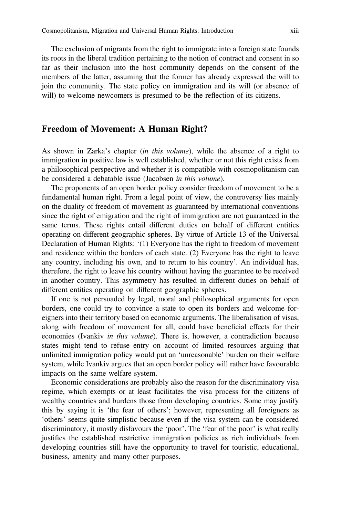The exclusion of migrants from the right to immigrate into a foreign state founds its roots in the liberal tradition pertaining to the notion of contract and consent in so far as their inclusion into the host community depends on the consent of the members of the latter, assuming that the former has already expressed the will to join the community. The state policy on immigration and its will (or absence of will) to welcome newcomers is presumed to be the reflection of its citizens.

#### Freedom of Movement: A Human Right?

As shown in Zarka's chapter (in this volume), while the absence of a right to immigration in positive law is well established, whether or not this right exists from a philosophical perspective and whether it is compatible with cosmopolitanism can be considered a debatable issue (Jacobsen in this volume).

The proponents of an open border policy consider freedom of movement to be a fundamental human right. From a legal point of view, the controversy lies mainly on the duality of freedom of movement as guaranteed by international conventions since the right of emigration and the right of immigration are not guaranteed in the same terms. These rights entail different duties on behalf of different entities operating on different geographic spheres. By virtue of Article 13 of the Universal Declaration of Human Rights: '(1) Everyone has the right to freedom of movement and residence within the borders of each state. (2) Everyone has the right to leave any country, including his own, and to return to his country'. An individual has, therefore, the right to leave his country without having the guarantee to be received in another country. This asymmetry has resulted in different duties on behalf of different entities operating on different geographic spheres.

If one is not persuaded by legal, moral and philosophical arguments for open borders, one could try to convince a state to open its borders and welcome foreigners into their territory based on economic arguments. The liberalisation of visas, along with freedom of movement for all, could have beneficial effects for their economies (Ivankiv in this volume). There is, however, a contradiction because states might tend to refuse entry on account of limited resources arguing that unlimited immigration policy would put an 'unreasonable' burden on their welfare system, while Ivankiv argues that an open border policy will rather have favourable impacts on the same welfare system.

Economic considerations are probably also the reason for the discriminatory visa regime, which exempts or at least facilitates the visa process for the citizens of wealthy countries and burdens those from developing countries. Some may justify this by saying it is 'the fear of others'; however, representing all foreigners as 'others' seems quite simplistic because even if the visa system can be considered discriminatory, it mostly disfavours the 'poor'. The 'fear of the poor' is what really justifies the established restrictive immigration policies as rich individuals from developing countries still have the opportunity to travel for touristic, educational, business, amenity and many other purposes.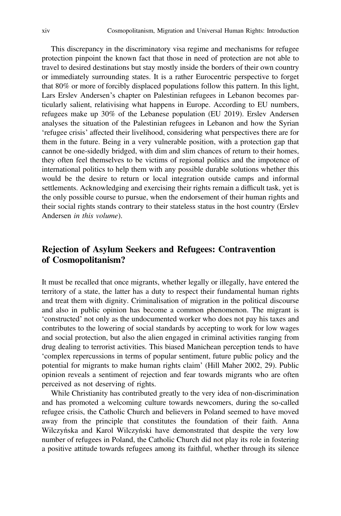This discrepancy in the discriminatory visa regime and mechanisms for refugee protection pinpoint the known fact that those in need of protection are not able to travel to desired destinations but stay mostly inside the borders of their own country or immediately surrounding states. It is a rather Eurocentric perspective to forget that 80% or more of forcibly displaced populations follow this pattern. In this light, Lars Erslev Andersen's chapter on Palestinian refugees in Lebanon becomes particularly salient, relativising what happens in Europe. According to EU numbers, refugees make up 30% of the Lebanese population (EU 2019). Erslev Andersen analyses the situation of the Palestinian refugees in Lebanon and how the Syrian 'refugee crisis' affected their livelihood, considering what perspectives there are for them in the future. Being in a very vulnerable position, with a protection gap that cannot be one-sidedly bridged, with dim and slim chances of return to their homes, they often feel themselves to be victims of regional politics and the impotence of international politics to help them with any possible durable solutions whether this would be the desire to return or local integration outside camps and informal settlements. Acknowledging and exercising their rights remain a difficult task, yet is the only possible course to pursue, when the endorsement of their human rights and their social rights stands contrary to their stateless status in the host country (Erslev Andersen in this volume).

## Rejection of Asylum Seekers and Refugees: Contravention of Cosmopolitanism?

It must be recalled that once migrants, whether legally or illegally, have entered the territory of a state, the latter has a duty to respect their fundamental human rights and treat them with dignity. Criminalisation of migration in the political discourse and also in public opinion has become a common phenomenon. The migrant is 'constructed' not only as the undocumented worker who does not pay his taxes and contributes to the lowering of social standards by accepting to work for low wages and social protection, but also the alien engaged in criminal activities ranging from drug dealing to terrorist activities. This biased Manichean perception tends to have 'complex repercussions in terms of popular sentiment, future public policy and the potential for migrants to make human rights claim' (Hill Maher 2002, 29). Public opinion reveals a sentiment of rejection and fear towards migrants who are often perceived as not deserving of rights.

While Christianity has contributed greatly to the very idea of non-discrimination and has promoted a welcoming culture towards newcomers, during the so-called refugee crisis, the Catholic Church and believers in Poland seemed to have moved away from the principle that constitutes the foundation of their faith. Anna Wilczyńska and Karol Wilczyński have demonstrated that despite the very low number of refugees in Poland, the Catholic Church did not play its role in fostering a positive attitude towards refugees among its faithful, whether through its silence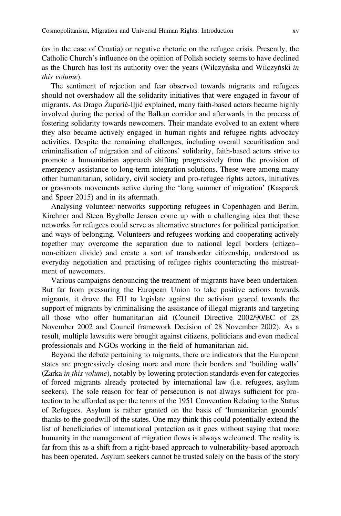(as in the case of Croatia) or negative rhetoric on the refugee crisis. Presently, the Catholic Church's influence on the opinion of Polish society seems to have declined as the Church has lost its authority over the years (Wilczyńska and Wilczyński in this volume).

The sentiment of rejection and fear observed towards migrants and refugees should not overshadow all the solidarity initiatives that were engaged in favour of migrants. As Drago Župarić-Iljić explained, many faith-based actors became highly involved during the period of the Balkan corridor and afterwards in the process of fostering solidarity towards newcomers. Their mandate evolved to an extent where they also became actively engaged in human rights and refugee rights advocacy activities. Despite the remaining challenges, including overall securitisation and criminalisation of migration and of citizens' solidarity, faith-based actors strive to promote a humanitarian approach shifting progressively from the provision of emergency assistance to long-term integration solutions. These were among many other humanitarian, solidary, civil society and pro-refugee rights actors, initiatives or grassroots movements active during the 'long summer of migration' (Kasparek and Speer 2015) and in its aftermath.

Analysing volunteer networks supporting refugees in Copenhagen and Berlin, Kirchner and Steen Bygballe Jensen come up with a challenging idea that these networks for refugees could serve as alternative structures for political participation and ways of belonging. Volunteers and refugees working and cooperating actively together may overcome the separation due to national legal borders (citizen– non-citizen divide) and create a sort of transborder citizenship, understood as everyday negotiation and practising of refugee rights counteracting the mistreatment of newcomers.

Various campaigns denouncing the treatment of migrants have been undertaken. But far from pressuring the European Union to take positive actions towards migrants, it drove the EU to legislate against the activism geared towards the support of migrants by criminalising the assistance of illegal migrants and targeting all those who offer humanitarian aid (Council Directive 2002/90/EC of 28 November 2002 and Council framework Decision of 28 November 2002). As a result, multiple lawsuits were brought against citizens, politicians and even medical professionals and NGOs working in the field of humanitarian aid.

Beyond the debate pertaining to migrants, there are indicators that the European states are progressively closing more and more their borders and 'building walls' (Zarka in this volume), notably by lowering protection standards even for categories of forced migrants already protected by international law (i.e. refugees, asylum seekers). The sole reason for fear of persecution is not always sufficient for protection to be afforded as per the terms of the 1951 Convention Relating to the Status of Refugees. Asylum is rather granted on the basis of 'humanitarian grounds' thanks to the goodwill of the states. One may think this could potentially extend the list of beneficiaries of international protection as it goes without saying that more humanity in the management of migration flows is always welcomed. The reality is far from this as a shift from a right-based approach to vulnerability-based approach has been operated. Asylum seekers cannot be trusted solely on the basis of the story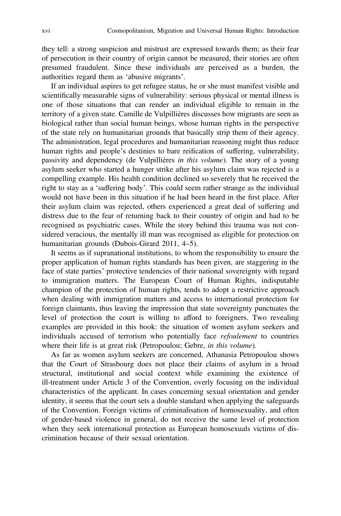they tell: a strong suspicion and mistrust are expressed towards them; as their fear of persecution in their country of origin cannot be measured, their stories are often presumed fraudulent. Since these individuals are perceived as a burden, the authorities regard them as 'abusive migrants'.

If an individual aspires to get refugee status, he or she must manifest visible and scientifically measurable signs of vulnerability: serious physical or mental illness is one of those situations that can render an individual eligible to remain in the territory of a given state. Camille de Vulpillières discusses how migrants are seen as biological rather than social human beings, whose human rights in the perspective of the state rely on humanitarian grounds that basically strip them of their agency. The administration, legal procedures and humanitarian reasoning might thus reduce human rights and people's destinies to bare reification of suffering, vulnerability, passivity and dependency (de Vulpillières in this volume). The story of a young asylum seeker who started a hunger strike after his asylum claim was rejected is a compelling example. His health condition declined so severely that he received the right to stay as a 'suffering body'. This could seem rather strange as the individual would not have been in this situation if he had been heard in the first place. After their asylum claim was rejected, others experienced a great deal of suffering and distress due to the fear of returning back to their country of origin and had to be recognised as psychiatric cases. While the story behind this trauma was not considered veracious, the mentally ill man was recognised as eligible for protection on humanitarian grounds (Dubois-Girard 2011, 4–5).

It seems as if supranational institutions, to whom the responsibility to ensure the proper application of human rights standards has been given, are staggering in the face of state parties' protective tendencies of their national sovereignty with regard to immigration matters. The European Court of Human Rights, indisputable champion of the protection of human rights, tends to adopt a restrictive approach when dealing with immigration matters and access to international protection for foreign claimants, thus leaving the impression that state sovereignty punctuates the level of protection the court is willing to afford to foreigners. Two revealing examples are provided in this book: the situation of women asylum seekers and individuals accused of terrorism who potentially face refoulement to countries where their life is at great risk (Petropoulou; Gebre, *in this volume*).

As far as women asylum seekers are concerned, Athanasia Petropoulou shows that the Court of Strasbourg does not place their claims of asylum in a broad structural, institutional and social context while examining the existence of ill-treatment under Article 3 of the Convention, overly focusing on the individual characteristics of the applicant. In cases concerning sexual orientation and gender identity, it seems that the court sets a double standard when applying the safeguards of the Convention. Foreign victims of criminalisation of homosexuality, and often of gender-based violence in general, do not receive the same level of protection when they seek international protection as European homosexuals victims of discrimination because of their sexual orientation.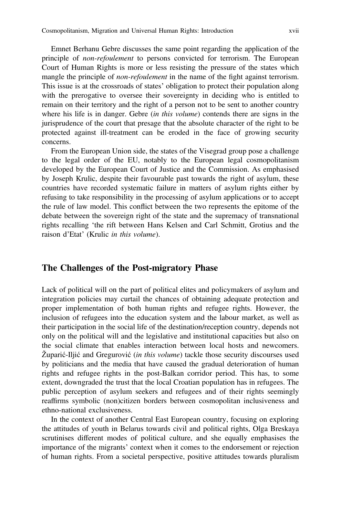Emnet Berhanu Gebre discusses the same point regarding the application of the principle of non-refoulement to persons convicted for terrorism. The European Court of Human Rights is more or less resisting the pressure of the states which mangle the principle of *non-refoulement* in the name of the fight against terrorism. This issue is at the crossroads of states' obligation to protect their population along with the prerogative to oversee their sovereignty in deciding who is entitled to remain on their territory and the right of a person not to be sent to another country where his life is in danger. Gebre *(in this volume)* contends there are signs in the jurisprudence of the court that presage that the absolute character of the right to be protected against ill-treatment can be eroded in the face of growing security concerns.

From the European Union side, the states of the Visegrad group pose a challenge to the legal order of the EU, notably to the European legal cosmopolitanism developed by the European Court of Justice and the Commission. As emphasised by Joseph Krulic, despite their favourable past towards the right of asylum, these countries have recorded systematic failure in matters of asylum rights either by refusing to take responsibility in the processing of asylum applications or to accept the rule of law model. This conflict between the two represents the epitome of the debate between the sovereign right of the state and the supremacy of transnational rights recalling 'the rift between Hans Kelsen and Carl Schmitt, Grotius and the raison d'Etat' (Krulic in this volume).

#### The Challenges of the Post-migratory Phase

Lack of political will on the part of political elites and policymakers of asylum and integration policies may curtail the chances of obtaining adequate protection and proper implementation of both human rights and refugee rights. However, the inclusion of refugees into the education system and the labour market, as well as their participation in the social life of the destination/reception country, depends not only on the political will and the legislative and institutional capacities but also on the social climate that enables interaction between local hosts and newcomers. Župarić-Iljić and Gregurović (in this volume) tackle those security discourses used by politicians and the media that have caused the gradual deterioration of human rights and refugee rights in the post-Balkan corridor period. This has, to some extent, downgraded the trust that the local Croatian population has in refugees. The public perception of asylum seekers and refugees and of their rights seemingly reaffirms symbolic (non)citizen borders between cosmopolitan inclusiveness and ethno-national exclusiveness.

In the context of another Central East European country, focusing on exploring the attitudes of youth in Belarus towards civil and political rights, Olga Breskaya scrutinises different modes of political culture, and she equally emphasises the importance of the migrants' context when it comes to the endorsement or rejection of human rights. From a societal perspective, positive attitudes towards pluralism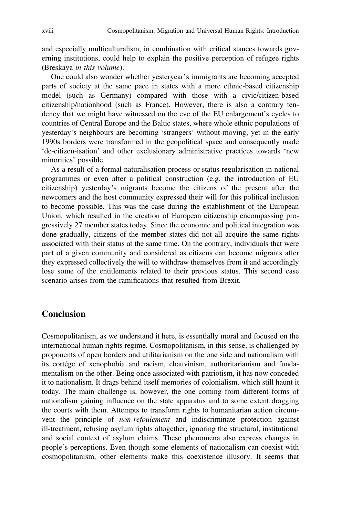and especially multiculturalism, in combination with critical stances towards governing institutions, could help to explain the positive perception of refugee rights (Breskaya in this volume).

One could also wonder whether yesteryear's immigrants are becoming accepted parts of society at the same pace in states with a more ethnic-based citizenship model (such as Germany) compared with those with a civic/citizen-based citizenship/nationhood (such as France). However, there is also a contrary tendency that we might have witnessed on the eve of the EU enlargement's cycles to countries of Central Europe and the Baltic states, where whole ethnic populations of yesterday's neighbours are becoming 'strangers' without moving, yet in the early 1990s borders were transformed in the geopolitical space and consequently made 'de-citizen-isation' and other exclusionary administrative practices towards 'new minorities' possible.

As a result of a formal naturalisation process or status regularisation in national programmes or even after a political construction (e.g. the introduction of EU citizenship) yesterday's migrants become the citizens of the present after the newcomers and the host community expressed their will for this political inclusion to become possible. This was the case during the establishment of the European Union, which resulted in the creation of European citizenship encompassing progressively 27 member states today. Since the economic and political integration was done gradually, citizens of the member states did not all acquire the same rights associated with their status at the same time. On the contrary, individuals that were part of a given community and considered as citizens can become migrants after they expressed collectively the will to withdraw themselves from it and accordingly lose some of the entitlements related to their previous status. This second case scenario arises from the ramifications that resulted from Brexit.

#### Conclusion

Cosmopolitanism, as we understand it here, is essentially moral and focused on the international human rights regime. Cosmopolitanism, in this sense, is challenged by proponents of open borders and utilitarianism on the one side and nationalism with its cortège of xenophobia and racism, chauvinism, authoritarianism and fundamentalism on the other. Being once associated with patriotism, it has now conceded it to nationalism. It drags behind itself memories of colonialism, which still haunt it today. The main challenge is, however, the one coming from different forms of nationalism gaining influence on the state apparatus and to some extent dragging the courts with them. Attempts to transform rights to humanitarian action circumvent the principle of non-refoulement and indiscriminate protection against ill-treatment, refusing asylum rights altogether, ignoring the structural, institutional and social context of asylum claims. These phenomena also express changes in people's perceptions. Even though some elements of nationalism can coexist with cosmopolitanism, other elements make this coexistence illusory. It seems that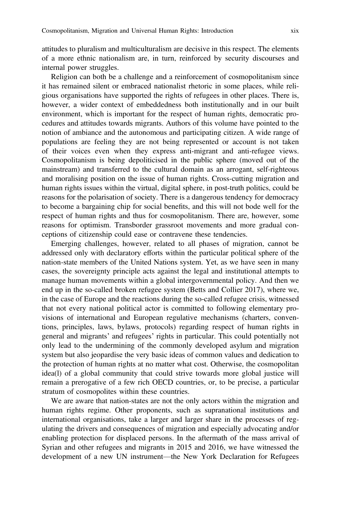attitudes to pluralism and multiculturalism are decisive in this respect. The elements of a more ethnic nationalism are, in turn, reinforced by security discourses and internal power struggles.

Religion can both be a challenge and a reinforcement of cosmopolitanism since it has remained silent or embraced nationalist rhetoric in some places, while religious organisations have supported the rights of refugees in other places. There is, however, a wider context of embeddedness both institutionally and in our built environment, which is important for the respect of human rights, democratic procedures and attitudes towards migrants. Authors of this volume have pointed to the notion of ambiance and the autonomous and participating citizen. A wide range of populations are feeling they are not being represented or account is not taken of their voices even when they express anti-migrant and anti-refugee views. Cosmopolitanism is being depoliticised in the public sphere (moved out of the mainstream) and transferred to the cultural domain as an arrogant, self-righteous and moralising position on the issue of human rights. Cross-cutting migration and human rights issues within the virtual, digital sphere, in post-truth politics, could be reasons for the polarisation of society. There is a dangerous tendency for democracy to become a bargaining chip for social benefits, and this will not bode well for the respect of human rights and thus for cosmopolitanism. There are, however, some reasons for optimism. Transborder grassroot movements and more gradual conceptions of citizenship could ease or contravene these tendencies.

Emerging challenges, however, related to all phases of migration, cannot be addressed only with declaratory efforts within the particular political sphere of the nation-state members of the United Nations system. Yet, as we have seen in many cases, the sovereignty principle acts against the legal and institutional attempts to manage human movements within a global intergovernmental policy. And then we end up in the so-called broken refugee system (Betts and Collier 2017), where we, in the case of Europe and the reactions during the so-called refugee crisis, witnessed that not every national political actor is committed to following elementary provisions of international and European regulative mechanisms (charters, conventions, principles, laws, bylaws, protocols) regarding respect of human rights in general and migrants' and refugees' rights in particular. This could potentially not only lead to the undermining of the commonly developed asylum and migration system but also jeopardise the very basic ideas of common values and dedication to the protection of human rights at no matter what cost. Otherwise, the cosmopolitan idea(l) of a global community that could strive towards more global justice will remain a prerogative of a few rich OECD countries, or, to be precise, a particular stratum of cosmopolites within these countries.

We are aware that nation-states are not the only actors within the migration and human rights regime. Other proponents, such as supranational institutions and international organisations, take a larger and larger share in the processes of regulating the drivers and consequences of migration and especially advocating and/or enabling protection for displaced persons. In the aftermath of the mass arrival of Syrian and other refugees and migrants in 2015 and 2016, we have witnessed the development of a new UN instrument—the New York Declaration for Refugees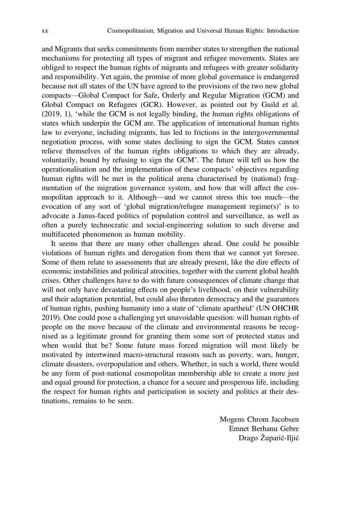and Migrants that seeks commitments from member states to strengthen the national mechanisms for protecting all types of migrant and refugee movements. States are obliged to respect the human rights of migrants and refugees with greater solidarity and responsibility. Yet again, the promise of more global governance is endangered because not all states of the UN have agreed to the provisions of the two new global compacts—Global Compact for Safe, Orderly and Regular Migration (GCM) and Global Compact on Refugees (GCR). However, as pointed out by Guild et al. (2019, 1), 'while the GCM is not legally binding, the human rights obligations of states which underpin the GCM are. The application of international human rights law to everyone, including migrants, has led to frictions in the intergovernmental negotiation process, with some states declining to sign the GCM. States cannot relieve themselves of the human rights obligations to which they are already, voluntarily, bound by refusing to sign the GCM'. The future will tell us how the operationalisation and the implementation of these compacts' objectives regarding human rights will be met in the political arena characterised by (national) fragmentation of the migration governance system, and how that will affect the cosmopolitan approach to it. Although—and we cannot stress this too much—the evocation of any sort of 'global migration/refugee management regime(s)' is to advocate a Janus-faced politics of population control and surveillance, as well as often a purely technocratic and social-engineering solution to such diverse and multifaceted phenomenon as human mobility.

It seems that there are many other challenges ahead. One could be possible violations of human rights and derogation from them that we cannot yet foresee. Some of them relate to assessments that are already present, like the dire effects of economic instabilities and political atrocities, together with the current global health crises. Other challenges have to do with future consequences of climate change that will not only have devastating effects on people's livelihood, on their vulnerability and their adaptation potential, but could also threaten democracy and the guarantees of human rights, pushing humanity into a state of 'climate apartheid' (UN OHCHR 2019). One could pose a challenging yet unavoidable question: will human rights of people on the move because of the climate and environmental reasons be recognised as a legitimate ground for granting them some sort of protected status and when would that be? Some future mass forced migration will most likely be motivated by intertwined macro-structural reasons such as poverty, wars, hunger, climate disasters, overpopulation and others. Whether, in such a world, there would be any form of post-national cosmopolitan membership able to create a more just and equal ground for protection, a chance for a secure and prosperous life, including the respect for human rights and participation in society and politics at their destinations, remains to be seen.

> Mogens Chrom Jacobsen Emnet Berhanu Gebre Drago Župarić-Iljić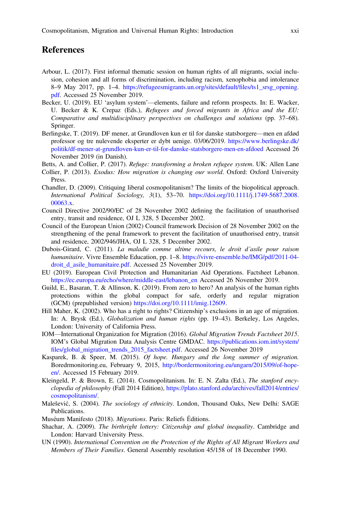#### References

- Arbour, L. (2017). First informal thematic session on human rights of all migrants, social inclusion, cohesion and all forms of discrimination, including racism, xenophobia and intolerance 8–9 May 2017, pp. 1–4. [https://refugeesmigrants.un.org/sites/default/](https://refugeesmigrants.un.org/sites/default/files/ts1_srsg_opening.pdf)files/ts1\_srsg\_opening. [pdf.](https://refugeesmigrants.un.org/sites/default/files/ts1_srsg_opening.pdf) Accessed 25 November 2019.
- Becker, U. (2019). EU 'asylum system'—elements, failure and reform prospects. In: E. Wacker, U. Becker & K. Crepaz (Eds.), Refugees and forced migrants in Africa and the EU: Comparative and multidisciplinary perspectives on challenges and solutions (pp. 37–68). Springer.
- Berlingske, T. (2019). DF mener, at Grundloven kun er til for danske statsborgere—men en afdød professor og tre nulevende eksperter er dybt uenige. 03/06/2019. [https://www.berlingske.dk/](https://www.berlingske.dk/politik/df-mener-at-grundloven-kun-er-til-for-danske-statsborgere-men-en-afdoed) [politik/df-mener-at-grundloven-kun-er-til-for-danske-statsborgere-men-en-afdoed](https://www.berlingske.dk/politik/df-mener-at-grundloven-kun-er-til-for-danske-statsborgere-men-en-afdoed) Accessed 26 November 2019 (in Danish).
- Betts, A. and Collier, P. (2017). Refuge: transforming a broken refugee system. UK: Allen Lane
- Collier, P. (2013). Exodus: How migration is changing our world. Oxford: Oxford University Press.
- Chandler, D. (2009). Critiquing liberal cosmopolitanism? The limits of the biopolitical approach. International Political Sociology, 3(1), 53–70. [https://doi.org/10.1111/j.1749-5687.2008.](https://doi.org/10.1111/j.1749-5687.2008.00063.x) 00063 x
- Council Directive 2002/90/EC of 28 November 2002 defining the facilitation of unauthorised entry, transit and residence, OJ L 328, 5 December 2002.
- Council of the European Union (2002) Council framework Decision of 28 November 2002 on the strengthening of the penal framework to prevent the facilitation of unauthorised entry, transit and residence, 2002/946/JHA, OJ L 328, 5 December 2002.
- Dubois-Girard, C. (2011). La maladie comme ultime recours, le droit d'asile pour raison humanitaire. Vivre Ensemble Education, pp. 1-8. [https://vivre-ensemble.be/IMG/pdf/2011-04](https://vivre-ensemble.be/IMG/pdf/2011-04-droit_d_asile_humanitaire.pdf) [droit\\_d\\_asile\\_humanitaire.pdf](https://vivre-ensemble.be/IMG/pdf/2011-04-droit_d_asile_humanitaire.pdf). Accessed 25 November 2019.
- EU (2019). European Civil Protection and Humanitarian Aid Operations. Factsheet Lebanon. [https://ec.europa.eu/echo/where/middle-east/lebanon\\_en](https://ec.europa.eu/echo/where/middle-east/lebanon_en) Accessed 26 November 2019.
- Guild, E., Basaran, T. & Allinson, K. (2019). From zero to hero? An analysis of the human rights protections within the global compact for safe, orderly and regular migration (GCM) (prepublished version) [https://doi.org/10.1111/imig.12609.](https://doi.org/10.1111/imig.12609)
- Hill Maher, K. (2002). Who has a right to rights? Citizenship's exclusions in an age of migration. In: A. Brysk (Ed.), *Globalization and human rights* (pp. 19–43). Berkeley, Los Angeles, London: University of California Press.
- IOM—International Organization for Migration (2016). Global Migration Trends Factsheet 2015. IOM's Global Migration Data Analysis Centre GMDAC. [https://publications.iom.int/system/](https://publications.iom.int/system/files/global_migration_trends_2015_factsheet.pdf) fi[les/global\\_migration\\_trends\\_2015\\_factsheet.pdf.](https://publications.iom.int/system/files/global_migration_trends_2015_factsheet.pdf) Accessed 26 November 2019
- Kasparek, B. & Speer, M. (2015). Of hope. Hungary and the long summer of migration. Boredrmonitoring.eu, February 9, 2015, [http://bordermonitoring.eu/ungarn/2015/09/of-hope](http://bordermonitoring.eu/ungarn/2015/09/of-hope-en/)[en/](http://bordermonitoring.eu/ungarn/2015/09/of-hope-en/). Accessed 15 February 2019.
- Kleingeld, P. & Brown, E. (2014). Cosmopolitanism. In: E. N. Zalta (Ed.), The stanford encyclopedia of philosophy (Fall 2014 Edition), [https://plato.stanford.edu/archives/fall2014/entries/](https://plato.stanford.edu/archives/fall2014/entries/cosmopolitanism/) [cosmopolitanism/](https://plato.stanford.edu/archives/fall2014/entries/cosmopolitanism/).
- Malešević, S. (2004). The sociology of ethnicity. London, Thousand Oaks, New Delhi: SAGE Publications.
- Muséum Manifesto (2018). Migrations. Paris: Reliefs Éditions.
- Shachar, A. (2009). The birthright lottery: Citizenship and global inequality. Cambridge and London: Harvard University Press.
- UN (1990). International Convention on the Protection of the Rights of All Migrant Workers and Members of Their Families. General Assembly resolution 45/158 of 18 December 1990.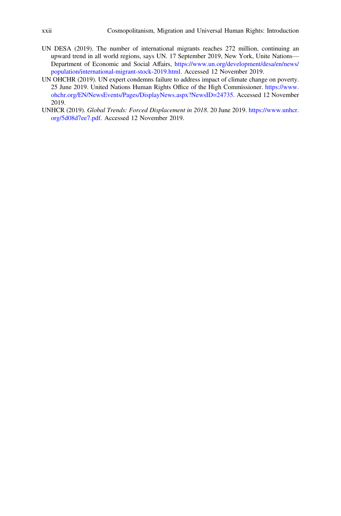- UN DESA (2019). The number of international migrants reaches 272 million, continuing an upward trend in all world regions, says UN. 17 September 2019, New York, Unite Nations— Department of Economic and Social Affairs, [https://www.un.org/development/desa/en/news/](https://www.un.org/development/desa/en/news/population/international-migrant-stock-2019.html) [population/international-migrant-stock-2019.html.](https://www.un.org/development/desa/en/news/population/international-migrant-stock-2019.html) Accessed 12 November 2019.
- UN OHCHR (2019). UN expert condemns failure to address impact of climate change on poverty. 25 June 2019. United Nations Human Rights Office of the High Commissioner. [https://www.](https://www.ohchr.org/EN/NewsEvents/Pages/DisplayNews.aspx?NewsID=24735) [ohchr.org/EN/NewsEvents/Pages/DisplayNews.aspx?NewsID=24735.](https://www.ohchr.org/EN/NewsEvents/Pages/DisplayNews.aspx?NewsID=24735) Accessed 12 November 2019.
- UNHCR (2019). Global Trends: Forced Displacement in 2018. 20 June 2019. [https://www.unhcr.](https://www.unhcr.org/5d08d7ee7.pdf) [org/5d08d7ee7.pdf.](https://www.unhcr.org/5d08d7ee7.pdf) Accessed 12 November 2019.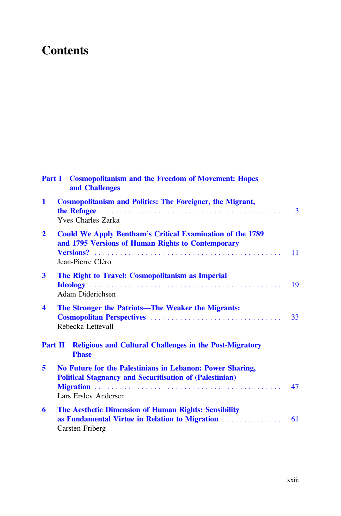# **Contents**

|                      | <b>Part I</b> Cosmopolitanism and the Freedom of Movement: Hopes<br>and Challenges                                                                  |    |
|----------------------|-----------------------------------------------------------------------------------------------------------------------------------------------------|----|
| $\mathbf{1}$         | <b>Cosmopolitanism and Politics: The Foreigner, the Migrant,</b><br>Yves Charles Zarka                                                              | 3  |
| $\overline{2}$       | <b>Could We Apply Bentham's Critical Examination of the 1789</b><br>and 1795 Versions of Human Rights to Contemporary<br>Jean-Pierre Cléro          | 11 |
| 3                    | The Right to Travel: Cosmopolitanism as Imperial<br>Adam Diderichsen                                                                                | 19 |
| $\blacktriangleleft$ | The Stronger the Patriots—The Weaker the Migrants:<br>Rebecka Lettevall                                                                             | 33 |
| Part II              | <b>Religious and Cultural Challenges in the Post-Migratory</b><br><b>Phase</b>                                                                      |    |
| 5                    | No Future for the Palestinians in Lebanon: Power Sharing,<br><b>Political Stagnancy and Securitisation of (Palestinian)</b><br>Lars Erslev Andersen | 47 |
| 6                    | The Aesthetic Dimension of Human Rights: Sensibility<br>as Fundamental Virtue in Relation to Migration<br>Carsten Friberg                           | 61 |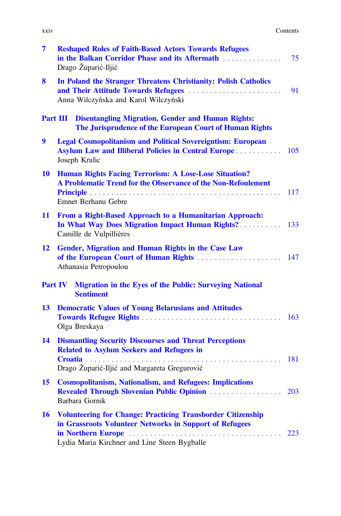| <b>XX1V</b> | Contents |
|-------------|----------|
|             | .        |

| 7              | <b>Reshaped Roles of Faith-Based Actors Towards Refugees</b><br>in the Balkan Corridor Phase and its Aftermath<br>Drago Župarić-Iljić                                         | 75  |
|----------------|-------------------------------------------------------------------------------------------------------------------------------------------------------------------------------|-----|
| 8              | In Poland the Stranger Threatens Christianity: Polish Catholics<br>and Their Attitude Towards Refugees<br>Anna Wilczyńska and Karol Wilczyński                                | 91  |
|                | <b>Part III</b><br><b>Disentangling Migration, Gender and Human Rights:</b><br>The Jurisprudence of the European Court of Human Rights                                        |     |
| 9              | <b>Legal Cosmopolitanism and Political Sovereigntism: European</b><br><b>Asylum Law and Illiberal Policies in Central Europe </b><br>Joseph Krulic                            | 105 |
| <b>10</b>      | <b>Human Rights Facing Terrorism: A Lose-Lose Situation?</b><br>A Problematic Trend for the Observance of the Non-Refoulement<br>Emnet Berhanu Gebre                          | 117 |
| 11             | From a Right-Based Approach to a Humanitarian Approach:<br>In What Way Does Migration Impact Human Rights?<br>Camille de Vulpillières                                         | 133 |
| 12             | Gender, Migration and Human Rights in the Case Law<br>Athanasia Petropoulou                                                                                                   | 147 |
| <b>Part IV</b> | <b>Migration in the Eyes of the Public: Surveying National</b><br><b>Sentiment</b>                                                                                            |     |
| 13             | <b>Democratic Values of Young Belarusians and Attitudes</b><br>Olga Breskaya                                                                                                  | 163 |
| 14             | <b>Dismantling Security Discourses and Threat Perceptions</b><br><b>Related to Asylum Seekers and Refugees in</b><br>Drago Župarić-Iljić and Margareta Gregurović             | 181 |
| 15             | <b>Cosmopolitanism, Nationalism, and Refugees: Implications</b><br><b>Revealed Through Slovenian Public Opinion </b><br>Barbara Gornik                                        | 203 |
| 16             | <b>Volunteering for Change: Practicing Transborder Citizenship</b><br>in Grassroots Volunteer Networks in Support of Refugees<br>Lydia Maria Kirchner and Line Steen Bygballe | 223 |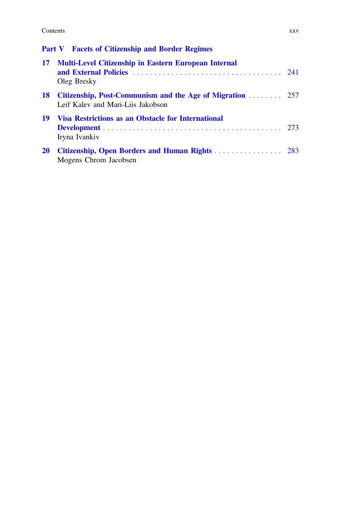#### **Contents** xxv

|           | <b>Part V</b> Facets of Citizenship and Border Regimes                                                |  |
|-----------|-------------------------------------------------------------------------------------------------------|--|
| 17        | <b>Multi-Level Citizenship in Eastern European Internal</b><br>Oleg Bresky                            |  |
| <b>18</b> | <b>Citizenship, Post-Communism and the Age of Migration </b> 257<br>Leif Kalev and Mari-Liis Jakobson |  |
| 19        | <b>Visa Restrictions as an Obstacle for International</b><br>Iryna Ivankiv                            |  |
| <b>20</b> | Citizenship, Open Borders and Human Rights 283<br>Mogens Chrom Jacobsen                               |  |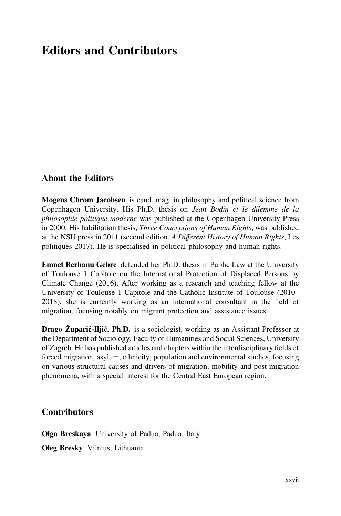# Editors and Contributors

### About the Editors

Mogens Chrom Jacobsen is cand. mag. in philosophy and political science from Copenhagen University. His Ph.D. thesis on Jean Bodin et le dilemme de la philosophie politique moderne was published at the Copenhagen University Press in 2000. His habilitation thesis, Three Conceptions of Human Rights, was published at the NSU press in 2011 (second edition, A Different History of Human Rights, Les politiques 2017). He is specialised in political philosophy and human rights.

Emnet Berhanu Gebre defended her Ph.D. thesis in Public Law at the University of Toulouse 1 Capitole on the International Protection of Displaced Persons by Climate Change (2016). After working as a research and teaching fellow at the University of Toulouse 1 Capitole and the Catholic Institute of Toulouse (2010– 2018), she is currently working as an international consultant in the field of migration, focusing notably on migrant protection and assistance issues.

Drago Župarić-Iljić, Ph.D. is a sociologist, working as an Assistant Professor at the Department of Sociology, Faculty of Humanities and Social Sciences, University of Zagreb. He has published articles and chapters within the interdisciplinary fields of forced migration, asylum, ethnicity, population and environmental studies, focusing on various structural causes and drivers of migration, mobility and post-migration phenomena, with a special interest for the Central East European region.

## **Contributors**

Olga Breskaya University of Padua, Padua, Italy

Oleg Bresky Vilnius, Lithuania